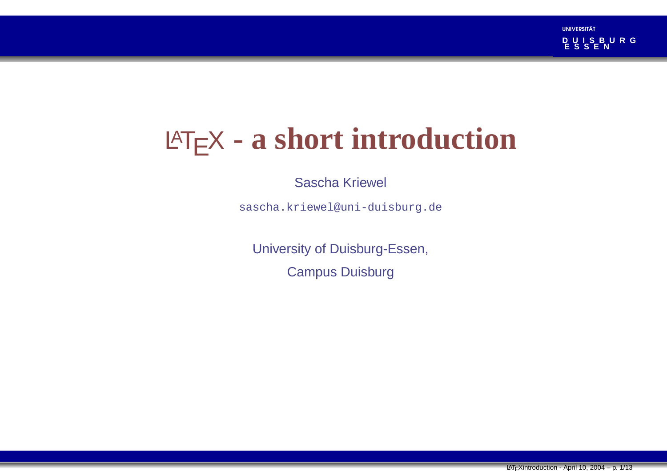# LATEX **- <sup>a</sup> short introduction**

#### Sascha Kriewel

sascha.kriewel@uni-duisburg.de

University of Duisburg-Essen, Campus Duisburg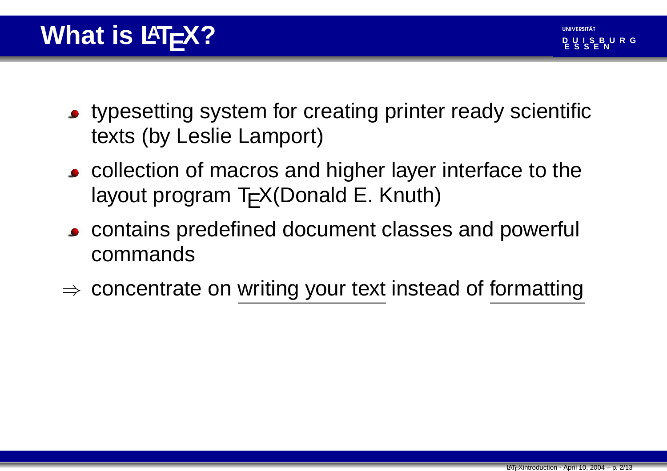- typesetting system for creating printer ready scientific texts (by Leslie Lamport)
- collection of macros and higher layer interface to the layout program  $Tr(X)$ Donald E. Knuth)
- contains predefined document classes and powerful commands
- $\Rightarrow$  concentrate on writing your text instead of formatting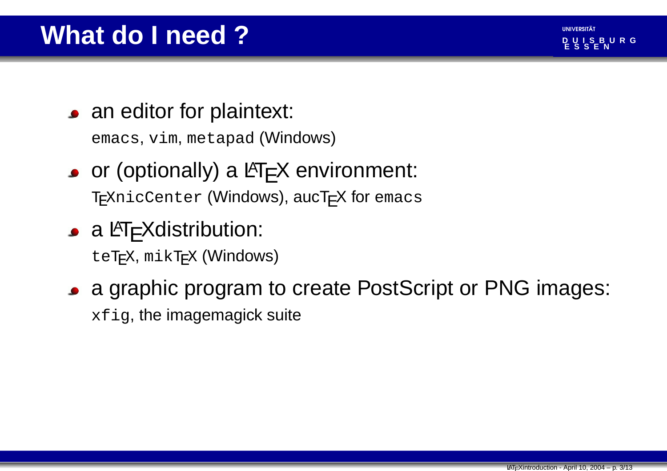#### **What do I need ? E S S E N**

#### an editor for plaintext:

emacs, vim, metapad (Windows)

- $\bullet$  or (optionally) a  $\angle$ Figure environment: TEXnicCenter (Windows), aucTFX for emacs
- a l<sup>a</sup>TEXdistribution:

 $teT<sub>E</sub>X$ ,  $mikT<sub>F</sub>X$  (Windows)

a graphic program to create PostScript or PNG images: xfig, the imagemagick suite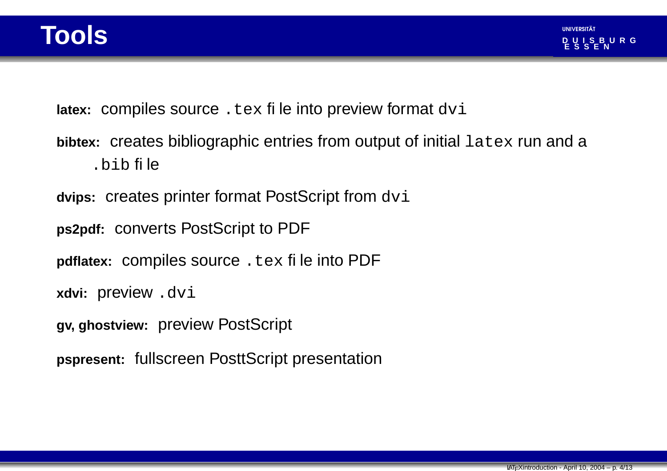

**latex: compiles source .<code>tex</code> fi le into preview format <code>dvi</code>** 

**bibtex:** creates bibliographic entries from output of initial latex run and <sup>a</sup> .bib file

**dvips:** creates printer format PostScript from dvi

**ps2pdf:** converts PostScript to PDF

**pdflatex:** compiles source . tex file into PDF

**xdvi:** preview .dvi

**gv, ghostview:** preview PostScript

**pspresent:** fullscreen PosttScript presentation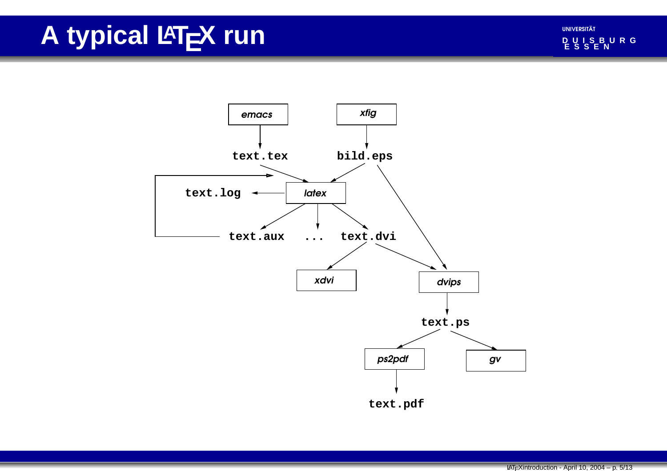### **A E S S E N typical LATEX run**

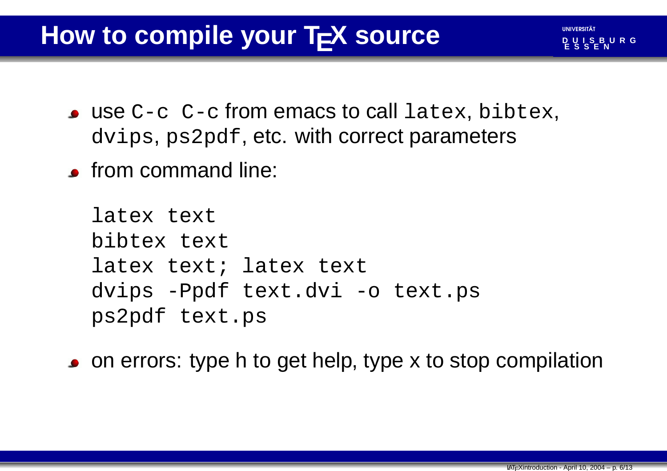### **How to compile your TEX source** the serve the second of  $\mathbb{E}_{S}^{\text{W}}$  is a vertex of  $\mathbb{E}_{S}^{\text{W}}$

- use C-c C-c from emacs to call latex, bibtex, dvips, ps2pdf, etc. with correct parameters
- from command line:

```
latex text
bibtex text
latex text; latex text
dvips -Ppdf text.dvi -o text.ps
ps2pdf text.ps
```
on errors: type h to get help, type <sup>x</sup> to stop compilation

UNIVERSITÄT

**D U I S B U R G**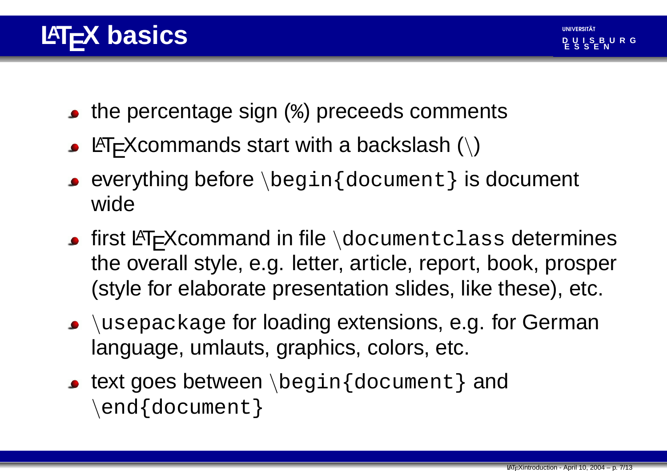UNIVERSITÄT**D U I S B U R G**

- the percentage sign (%) preceeds comments
- $\blacktriangleright$  ET<sub>F</sub>X commands start with a backslash (\)
- everything before  $\begin{cases} \text{document} \\ \text{is document} \end{cases}$ wide
- **first**  $\text{AT}_F X$ **command in file** \documentclass determines the overall style, e.g. letter, article, report, book, prosper (style for elaborate presentation slides, like these), etc.
- $\bullet$  \usepackage for loading extensions, e.g. for German language, umlauts, graphics, colors, etc.
- $\bullet$  text goes between \begin{document} and \end{document}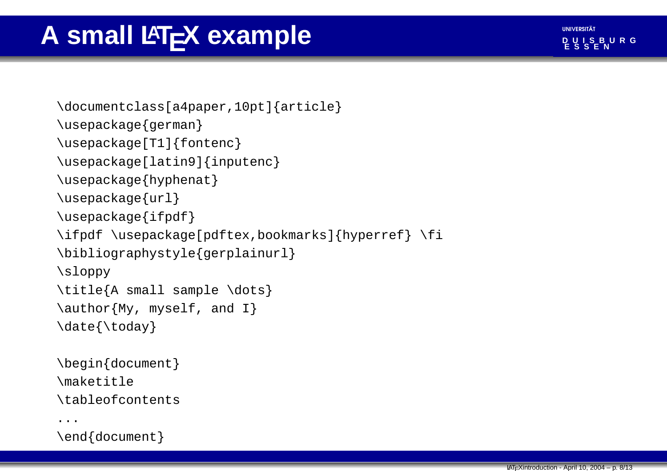## **A** small LATEX example **Example**

```
\documentclass[a4paper,10pt]{article}
\usepackage{german}
\usepackage[T1]{fontenc}
\usepackage[latin9]{inputenc}
\usepackage{hyphenat}
\usepackage{url}
\usepackage{ifpdf}
\ifpdf \usepackage[pdftex,bookmarks]{hyperref} \fi
\bibliographystyle{gerplainurl}
\sloppy
\title{A small sample \dots}
\author{My, myself, and I}
\date{\today}
\begin{document}
\maketitle
\tableofcontents
```

```
\end{document}
```
...

**D U I S B U R G**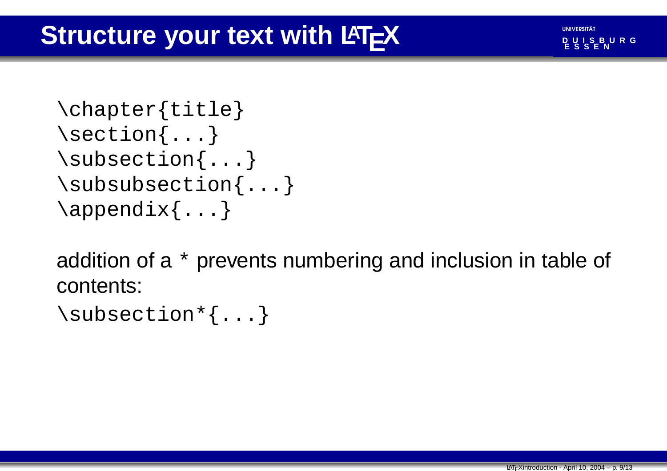```
UNIVERSITÄTD U I S B U R G
```

```
\chapter{title}
\section{...}
\subsection{...}
\subsubsection{...}
\appendix{...}
```
addition of a \* prevents numbering and inclusion in table of contents:

\subsection\*{...}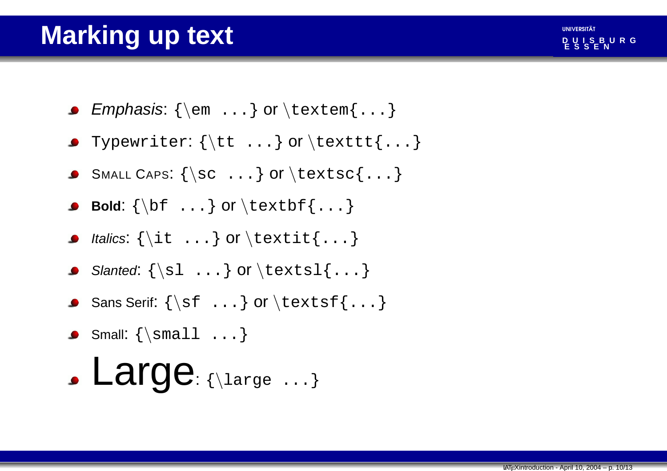#### **Marking up text with the substitution of the set of the substitution of the set of the set of the set of the set of the set of the set of the set of the set of the set of the set of the set of the set of the set of the**

- $\bullet$  Emphasis: {\em ...} or \textem{...}
- **O** Typewriter:  $\{ \mathbf{t} \dots \}$  or  $\text{textf} \dots \}$
- <code>Small Caps: {\sc  $\ldots\}$  or  $\texttt{\{...}\}$ </code>
- **Bold**: {\bf ...} or \textbf{...}
- *Italics*:  $\{\setminus\texttt{it}\dots\}$  or  $\texttt{\texttt{i}}\dots\}$
- Slanted:  $\{\s1 \ldots\}$  Or  $\text{tests1} \ldots\}$
- Sans Serif:  $\{\setminus \texttt{sf} \mid \ldots\}$  Or  $\texttt{test} \{ \ldots \}$
- Small:  $\{\mathrm{small. . . . }\}$
- . Large: {\large ...}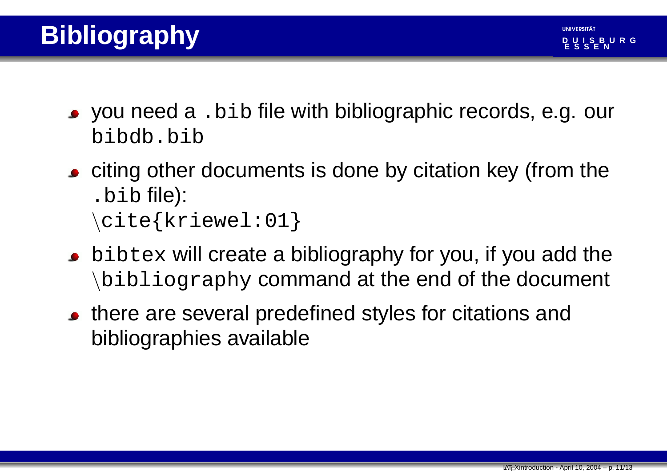- you need <sup>a</sup> .bib file with bibliographic records, e.g. our bibdb.bib
- citing other documents is done by citation key (from the .bib file): \cite{kriewel:01}
- bibtex will create <sup>a</sup> bibliography for you, if you add the \bibliography command at the end of the document
- there are several predefined styles for citations and bibliographies available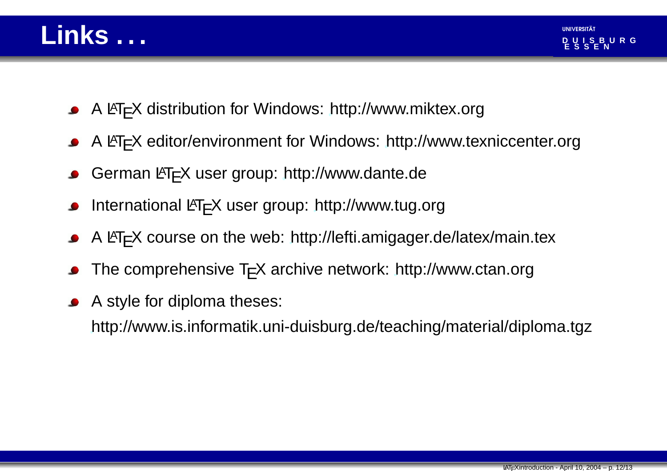

- A LT<sub>E</sub>X distributi[o]( )n for Windows: http://www.miktex.org  $\bullet$
- A LT<sub>E</sub>X edit[o]( )r/environment for Windows: http://www.texniccenter.org
- German LT<sub>E</sub>X user gr[o]( )up: http://www.dante.de  $\bullet$
- Internati[o]( )nal LAT<sub>E</sub>X user group: http://www.tug.org
- A LTEX course on the [w]( )eb: http://lefti.amigager.de/latex/main.tex
- The c[o]( )mprehensive T<sub>E</sub>X archive network: http://www.ctan.org
- A style for diploma theses:

http://www.is.informatik.uni-duisburg.de/teaching/material/diploma.tgz